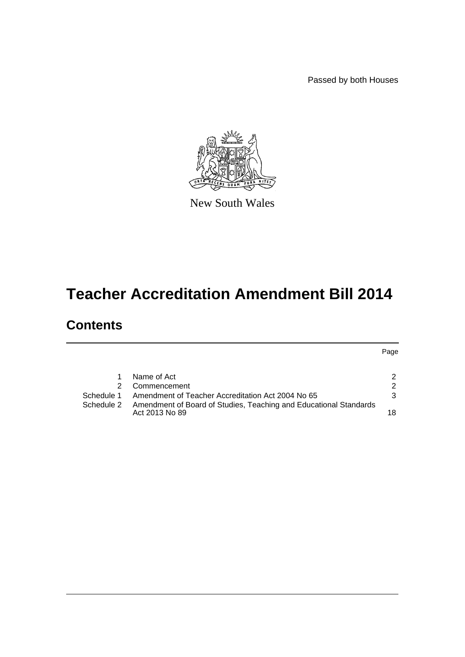Passed by both Houses



New South Wales

# **Teacher Accreditation Amendment Bill 2014**

# **Contents**

Page

|            | Name of Act                                                                         | 2  |
|------------|-------------------------------------------------------------------------------------|----|
|            | 2 Commencement                                                                      | 2  |
| Schedule 1 | Amendment of Teacher Accreditation Act 2004 No 65                                   | 3  |
| Schedule 2 | Amendment of Board of Studies, Teaching and Educational Standards<br>Act 2013 No 89 | 18 |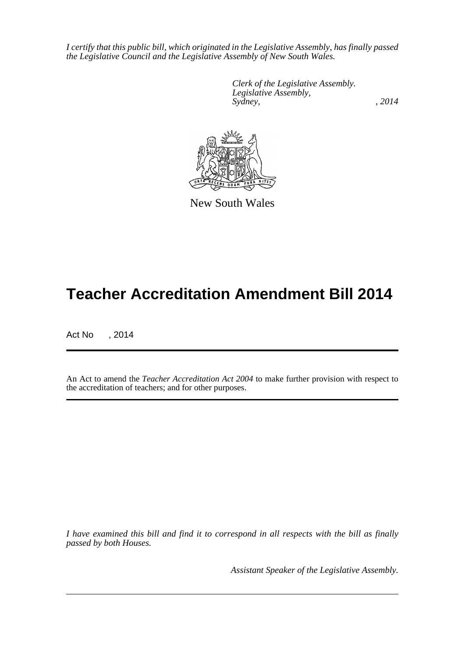*I certify that this public bill, which originated in the Legislative Assembly, has finally passed the Legislative Council and the Legislative Assembly of New South Wales.*

> *Clerk of the Legislative Assembly. Legislative Assembly, Sydney,* , 2014



New South Wales

# **Teacher Accreditation Amendment Bill 2014**

Act No , 2014

An Act to amend the *Teacher Accreditation Act 2004* to make further provision with respect to the accreditation of teachers; and for other purposes.

*I have examined this bill and find it to correspond in all respects with the bill as finally passed by both Houses.*

*Assistant Speaker of the Legislative Assembly.*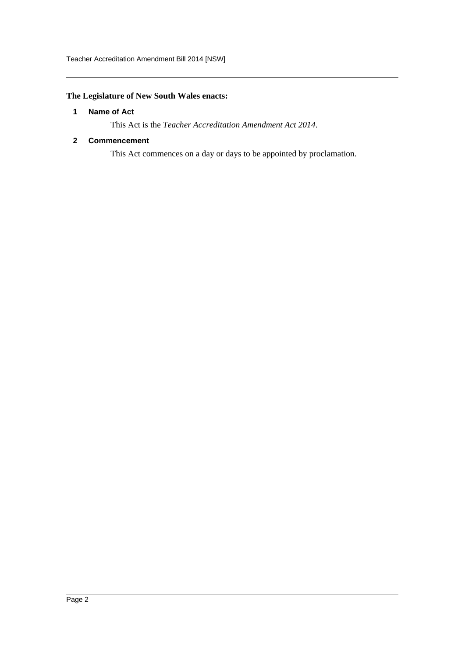## <span id="page-2-0"></span>**The Legislature of New South Wales enacts:**

## **1 Name of Act**

This Act is the *Teacher Accreditation Amendment Act 2014*.

### <span id="page-2-1"></span>**2 Commencement**

This Act commences on a day or days to be appointed by proclamation.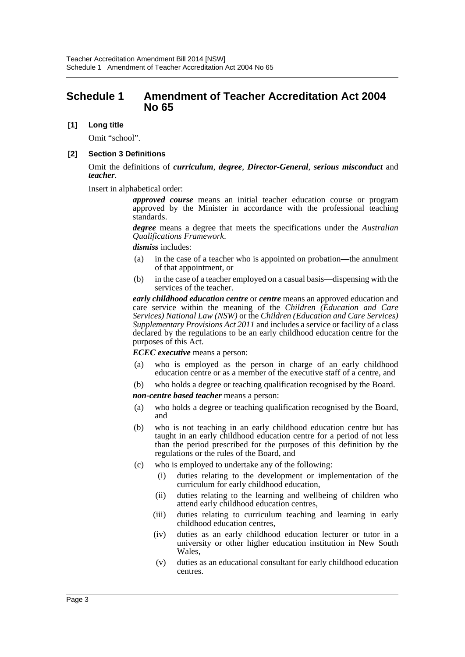## <span id="page-3-0"></span>**Schedule 1 Amendment of Teacher Accreditation Act 2004 No 65**

### **[1] Long title**

Omit "school".

#### **[2] Section 3 Definitions**

Omit the definitions of *curriculum*, *degree*, *Director-General*, *serious misconduct* and *teacher*.

Insert in alphabetical order:

*approved course* means an initial teacher education course or program approved by the Minister in accordance with the professional teaching standards.

*degree* means a degree that meets the specifications under the *Australian Qualifications Framework*.

#### *dismiss* includes:

- (a) in the case of a teacher who is appointed on probation—the annulment of that appointment, or
- (b) in the case of a teacher employed on a casual basis—dispensing with the services of the teacher.

*early childhood education centre* or *centre* means an approved education and care service within the meaning of the *Children (Education and Care Services) National Law (NSW)* or the *Children (Education and Care Services) Supplementary Provisions Act 2011* and includes a service or facility of a class declared by the regulations to be an early childhood education centre for the purposes of this Act.

*ECEC executive* means a person:

- (a) who is employed as the person in charge of an early childhood education centre or as a member of the executive staff of a centre, and
- (b) who holds a degree or teaching qualification recognised by the Board.

*non-centre based teacher* means a person:

- (a) who holds a degree or teaching qualification recognised by the Board, and
- (b) who is not teaching in an early childhood education centre but has taught in an early childhood education centre for a period of not less than the period prescribed for the purposes of this definition by the regulations or the rules of the Board, and
- (c) who is employed to undertake any of the following:
	- (i) duties relating to the development or implementation of the curriculum for early childhood education,
	- (ii) duties relating to the learning and wellbeing of children who attend early childhood education centres,
	- (iii) duties relating to curriculum teaching and learning in early childhood education centres,
	- (iv) duties as an early childhood education lecturer or tutor in a university or other higher education institution in New South Wales,
	- (v) duties as an educational consultant for early childhood education centres.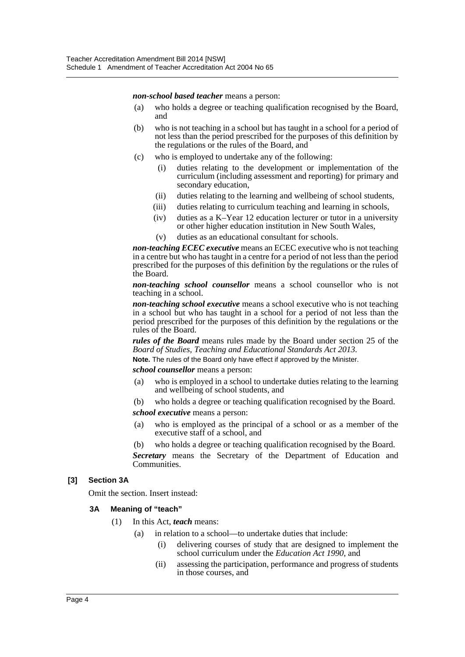*non-school based teacher* means a person:

- (a) who holds a degree or teaching qualification recognised by the Board, and
- (b) who is not teaching in a school but has taught in a school for a period of not less than the period prescribed for the purposes of this definition by the regulations or the rules of the Board, and
- (c) who is employed to undertake any of the following:
	- (i) duties relating to the development or implementation of the curriculum (including assessment and reporting) for primary and secondary education,
	- (ii) duties relating to the learning and wellbeing of school students,
	- (iii) duties relating to curriculum teaching and learning in schools,
	- (iv) duties as a K–Year 12 education lecturer or tutor in a university or other higher education institution in New South Wales,
	- (v) duties as an educational consultant for schools.

*non-teaching ECEC executive* means an ECEC executive who is not teaching in a centre but who has taught in a centre for a period of not less than the period prescribed for the purposes of this definition by the regulations or the rules of the Board.

*non-teaching school counsellor* means a school counsellor who is not teaching in a school.

*non-teaching school executive* means a school executive who is not teaching in a school but who has taught in a school for a period of not less than the period prescribed for the purposes of this definition by the regulations or the rules of the Board.

*rules of the Board* means rules made by the Board under section 25 of the *Board of Studies, Teaching and Educational Standards Act 2013*.

**Note.** The rules of the Board only have effect if approved by the Minister.

*school counsellor* means a person:

- (a) who is employed in a school to undertake duties relating to the learning and wellbeing of school students, and
- (b) who holds a degree or teaching qualification recognised by the Board.

*school executive* means a person:

- (a) who is employed as the principal of a school or as a member of the executive staff of a school, and
- (b) who holds a degree or teaching qualification recognised by the Board.

*Secretary* means the Secretary of the Department of Education and Communities.

#### **[3] Section 3A**

Omit the section. Insert instead:

#### **3A Meaning of "teach"**

- (1) In this Act, *teach* means:
	- (a) in relation to a school—to undertake duties that include:
		- (i) delivering courses of study that are designed to implement the school curriculum under the *Education Act 1990*, and
		- (ii) assessing the participation, performance and progress of students in those courses, and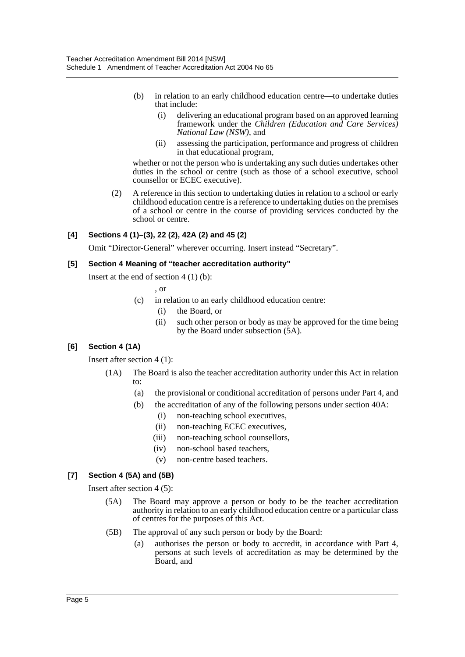- (b) in relation to an early childhood education centre—to undertake duties that include:
	- (i) delivering an educational program based on an approved learning framework under the *Children (Education and Care Services) National Law (NSW)*, and
	- (ii) assessing the participation, performance and progress of children in that educational program,

whether or not the person who is undertaking any such duties undertakes other duties in the school or centre (such as those of a school executive, school counsellor or ECEC executive).

(2) A reference in this section to undertaking duties in relation to a school or early childhood education centre is a reference to undertaking duties on the premises of a school or centre in the course of providing services conducted by the school or centre.

## **[4] Sections 4 (1)–(3), 22 (2), 42A (2) and 45 (2)**

Omit "Director-General" wherever occurring. Insert instead "Secretary".

## **[5] Section 4 Meaning of "teacher accreditation authority"**

Insert at the end of section  $4(1)(b)$ :

$$
\sim
$$
 or

- (c) in relation to an early childhood education centre:
	- (i) the Board, or
	- (ii) such other person or body as may be approved for the time being by the Board under subsection (5A).

## **[6] Section 4 (1A)**

Insert after section 4 (1):

- (1A) The Board is also the teacher accreditation authority under this Act in relation to:
	- (a) the provisional or conditional accreditation of persons under Part 4, and
	- (b) the accreditation of any of the following persons under section 40A:
		- (i) non-teaching school executives,
		- (ii) non-teaching ECEC executives,
		- (iii) non-teaching school counsellors,
		- (iv) non-school based teachers,
		- (v) non-centre based teachers.

## **[7] Section 4 (5A) and (5B)**

Insert after section 4 (5):

- (5A) The Board may approve a person or body to be the teacher accreditation authority in relation to an early childhood education centre or a particular class of centres for the purposes of this Act.
- (5B) The approval of any such person or body by the Board:
	- (a) authorises the person or body to accredit, in accordance with Part 4, persons at such levels of accreditation as may be determined by the Board, and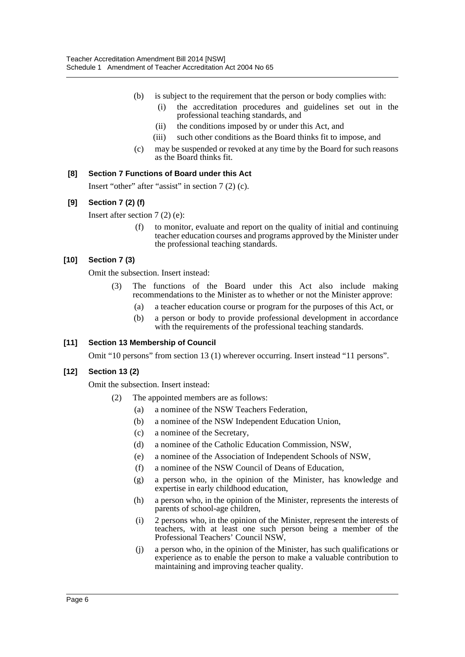- (b) is subject to the requirement that the person or body complies with:
	- (i) the accreditation procedures and guidelines set out in the professional teaching standards, and
	- (ii) the conditions imposed by or under this Act, and
	- (iii) such other conditions as the Board thinks fit to impose, and
- (c) may be suspended or revoked at any time by the Board for such reasons as the Board thinks fit.

## **[8] Section 7 Functions of Board under this Act**

Insert "other" after "assist" in section 7 (2) (c).

## **[9] Section 7 (2) (f)**

Insert after section 7 (2) (e):

(f) to monitor, evaluate and report on the quality of initial and continuing teacher education courses and programs approved by the Minister under the professional teaching standards.

### **[10] Section 7 (3)**

Omit the subsection. Insert instead:

- (3) The functions of the Board under this Act also include making recommendations to the Minister as to whether or not the Minister approve:
	- (a) a teacher education course or program for the purposes of this Act, or
	- (b) a person or body to provide professional development in accordance with the requirements of the professional teaching standards.

#### **[11] Section 13 Membership of Council**

Omit "10 persons" from section 13 (1) wherever occurring. Insert instead "11 persons".

#### **[12] Section 13 (2)**

Omit the subsection. Insert instead:

- (2) The appointed members are as follows:
	- (a) a nominee of the NSW Teachers Federation,
	- (b) a nominee of the NSW Independent Education Union,
	- (c) a nominee of the Secretary,
	- (d) a nominee of the Catholic Education Commission, NSW,
	- (e) a nominee of the Association of Independent Schools of NSW,
	- (f) a nominee of the NSW Council of Deans of Education,
	- (g) a person who, in the opinion of the Minister, has knowledge and expertise in early childhood education,
	- (h) a person who, in the opinion of the Minister, represents the interests of parents of school-age children,
	- (i) 2 persons who, in the opinion of the Minister, represent the interests of teachers, with at least one such person being a member of the Professional Teachers' Council NSW,
	- (j) a person who, in the opinion of the Minister, has such qualifications or experience as to enable the person to make a valuable contribution to maintaining and improving teacher quality.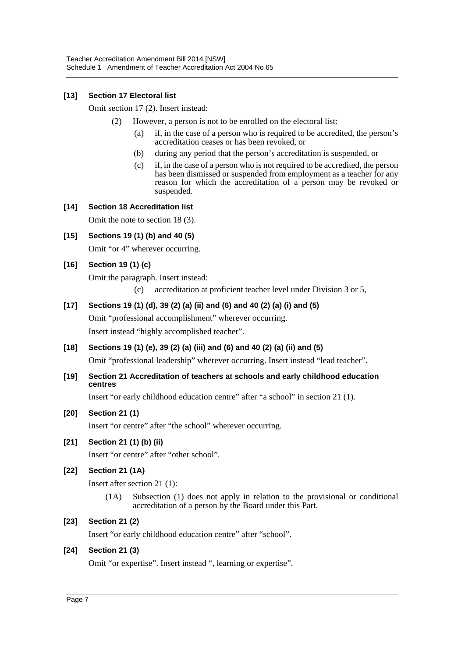## **[13] Section 17 Electoral list**

Omit section 17 (2). Insert instead:

- (2) However, a person is not to be enrolled on the electoral list:
	- (a) if, in the case of a person who is required to be accredited, the person's accreditation ceases or has been revoked, or
	- (b) during any period that the person's accreditation is suspended, or
	- (c) if, in the case of a person who is not required to be accredited, the person has been dismissed or suspended from employment as a teacher for any reason for which the accreditation of a person may be revoked or suspended.

### **[14] Section 18 Accreditation list**

Omit the note to section 18 (3).

**[15] Sections 19 (1) (b) and 40 (5)** Omit "or 4" wherever occurring.

## **[16] Section 19 (1) (c)**

Omit the paragraph. Insert instead:

(c) accreditation at proficient teacher level under Division 3 or 5,

## **[17] Sections 19 (1) (d), 39 (2) (a) (ii) and (6) and 40 (2) (a) (i) and (5)**

Omit "professional accomplishment" wherever occurring. Insert instead "highly accomplished teacher".

**[18] Sections 19 (1) (e), 39 (2) (a) (iii) and (6) and 40 (2) (a) (ii) and (5)**

Omit "professional leadership" wherever occurring. Insert instead "lead teacher".

**[19] Section 21 Accreditation of teachers at schools and early childhood education centres**

Insert "or early childhood education centre" after "a school" in section 21 (1).

## **[20] Section 21 (1)**

Insert "or centre" after "the school" wherever occurring.

## **[21] Section 21 (1) (b) (ii)**

Insert "or centre" after "other school".

## **[22] Section 21 (1A)**

Insert after section 21 (1):

(1A) Subsection (1) does not apply in relation to the provisional or conditional accreditation of a person by the Board under this Part.

## **[23] Section 21 (2)**

Insert "or early childhood education centre" after "school".

#### **[24] Section 21 (3)**

Omit "or expertise". Insert instead ", learning or expertise".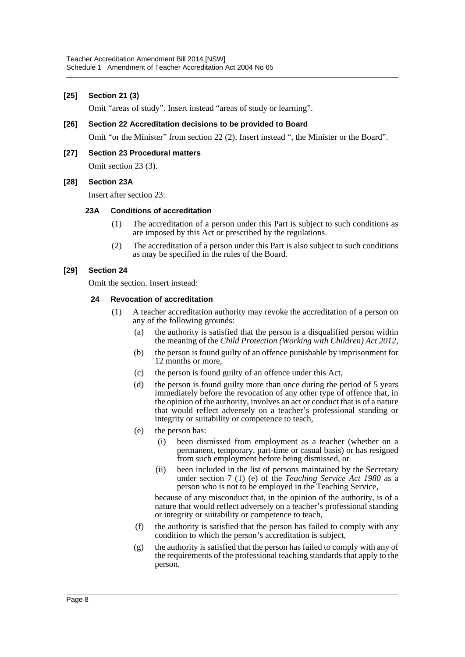### **[25] Section 21 (3)**

Omit "areas of study". Insert instead "areas of study or learning".

#### **[26] Section 22 Accreditation decisions to be provided to Board**

Omit "or the Minister" from section 22 (2). Insert instead ", the Minister or the Board".

#### **[27] Section 23 Procedural matters**

Omit section 23 (3).

#### **[28] Section 23A**

Insert after section 23:

#### **23A Conditions of accreditation**

- (1) The accreditation of a person under this Part is subject to such conditions as are imposed by this Act or prescribed by the regulations.
- (2) The accreditation of a person under this Part is also subject to such conditions as may be specified in the rules of the Board.

#### **[29] Section 24**

Omit the section. Insert instead:

#### **24 Revocation of accreditation**

- (1) A teacher accreditation authority may revoke the accreditation of a person on any of the following grounds:
	- (a) the authority is satisfied that the person is a disqualified person within the meaning of the *Child Protection (Working with Children) Act 2012*,
	- (b) the person is found guilty of an offence punishable by imprisonment for 12 months or more,
	- (c) the person is found guilty of an offence under this Act,
	- (d) the person is found guilty more than once during the period of 5 years immediately before the revocation of any other type of offence that, in the opinion of the authority, involves an act or conduct that is of a nature that would reflect adversely on a teacher's professional standing or integrity or suitability or competence to teach,
	- (e) the person has:
		- (i) been dismissed from employment as a teacher (whether on a permanent, temporary, part-time or casual basis) or has resigned from such employment before being dismissed, or
		- (ii) been included in the list of persons maintained by the Secretary under section 7 (1) (e) of the *Teaching Service Act 1980* as a person who is not to be employed in the Teaching Service,

because of any misconduct that, in the opinion of the authority, is of a nature that would reflect adversely on a teacher's professional standing or integrity or suitability or competence to teach,

- (f) the authority is satisfied that the person has failed to comply with any condition to which the person's accreditation is subject,
- (g) the authority is satisfied that the person has failed to comply with any of the requirements of the professional teaching standards that apply to the person.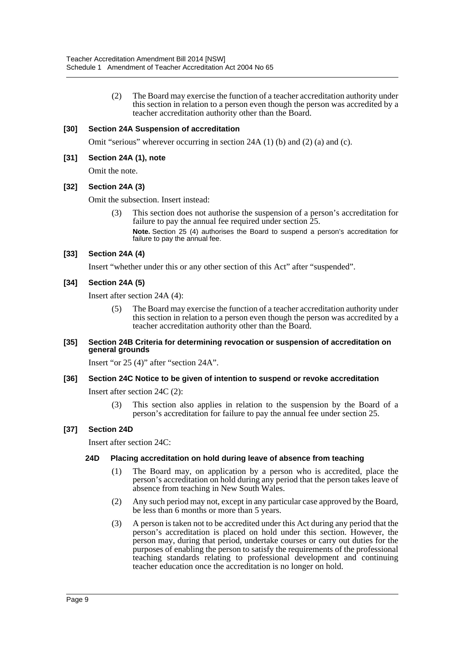(2) The Board may exercise the function of a teacher accreditation authority under this section in relation to a person even though the person was accredited by a teacher accreditation authority other than the Board.

### **[30] Section 24A Suspension of accreditation**

Omit "serious" wherever occurring in section 24A (1) (b) and (2) (a) and (c).

#### **[31] Section 24A (1), note**

Omit the note.

#### **[32] Section 24A (3)**

Omit the subsection. Insert instead:

(3) This section does not authorise the suspension of a person's accreditation for failure to pay the annual fee required under section  $25$ . **Note.** Section 25 (4) authorises the Board to suspend a person's accreditation for failure to pay the annual fee.

#### **[33] Section 24A (4)**

Insert "whether under this or any other section of this Act" after "suspended".

#### **[34] Section 24A (5)**

Insert after section 24A (4):

(5) The Board may exercise the function of a teacher accreditation authority under this section in relation to a person even though the person was accredited by a teacher accreditation authority other than the Board.

#### **[35] Section 24B Criteria for determining revocation or suspension of accreditation on general grounds**

Insert "or 25 (4)" after "section 24A".

#### **[36] Section 24C Notice to be given of intention to suspend or revoke accreditation**

Insert after section 24C (2):

(3) This section also applies in relation to the suspension by the Board of a person's accreditation for failure to pay the annual fee under section 25.

#### **[37] Section 24D**

Insert after section 24C:

#### **24D Placing accreditation on hold during leave of absence from teaching**

- (1) The Board may, on application by a person who is accredited, place the person's accreditation on hold during any period that the person takes leave of absence from teaching in New South Wales.
- (2) Any such period may not, except in any particular case approved by the Board, be less than 6 months or more than 5 years.
- (3) A person is taken not to be accredited under this Act during any period that the person's accreditation is placed on hold under this section. However, the person may, during that period, undertake courses or carry out duties for the purposes of enabling the person to satisfy the requirements of the professional teaching standards relating to professional development and continuing teacher education once the accreditation is no longer on hold.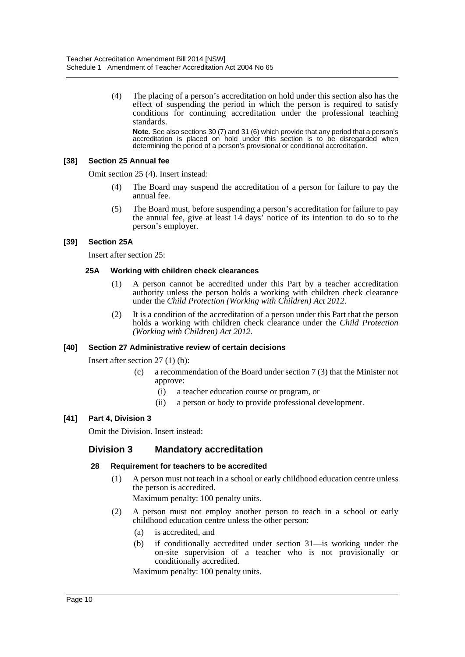(4) The placing of a person's accreditation on hold under this section also has the effect of suspending the period in which the person is required to satisfy conditions for continuing accreditation under the professional teaching standards.

**Note.** See also sections 30 (7) and 31 (6) which provide that any period that a person's accreditation is placed on hold under this section is to be disregarded when determining the period of a person's provisional or conditional accreditation.

#### **[38] Section 25 Annual fee**

Omit section 25 (4). Insert instead:

- (4) The Board may suspend the accreditation of a person for failure to pay the annual fee.
- (5) The Board must, before suspending a person's accreditation for failure to pay the annual fee, give at least 14 days' notice of its intention to do so to the person's employer.

#### **[39] Section 25A**

Insert after section 25:

#### **25A Working with children check clearances**

- (1) A person cannot be accredited under this Part by a teacher accreditation authority unless the person holds a working with children check clearance under the *Child Protection (Working with Children) Act 2012*.
- (2) It is a condition of the accreditation of a person under this Part that the person holds a working with children check clearance under the *Child Protection (Working with Children) Act 2012*.

#### **[40] Section 27 Administrative review of certain decisions**

Insert after section 27 (1) (b):

- (c) a recommendation of the Board under section 7 (3) that the Minister not approve:
	- (i) a teacher education course or program, or
	- (ii) a person or body to provide professional development.

#### **[41] Part 4, Division 3**

Omit the Division. Insert instead:

## **Division 3 Mandatory accreditation**

#### **28 Requirement for teachers to be accredited**

(1) A person must not teach in a school or early childhood education centre unless the person is accredited.

Maximum penalty: 100 penalty units.

- (2) A person must not employ another person to teach in a school or early childhood education centre unless the other person:
	- (a) is accredited, and
	- (b) if conditionally accredited under section 31—is working under the on-site supervision of a teacher who is not provisionally or conditionally accredited.

Maximum penalty: 100 penalty units.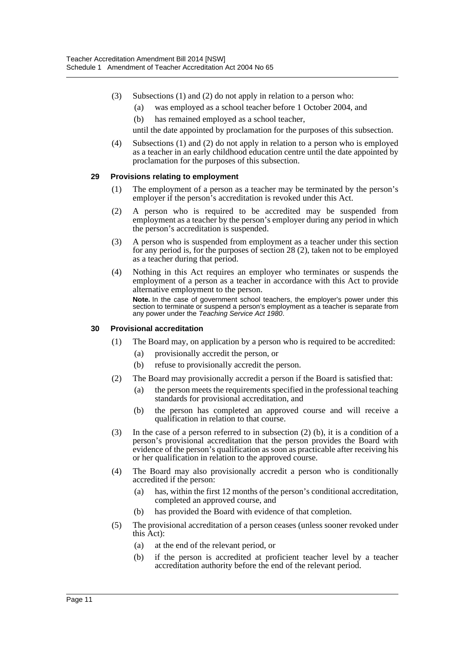- (3) Subsections (1) and (2) do not apply in relation to a person who:
	- (a) was employed as a school teacher before 1 October 2004, and
	- (b) has remained employed as a school teacher,

until the date appointed by proclamation for the purposes of this subsection.

(4) Subsections (1) and (2) do not apply in relation to a person who is employed as a teacher in an early childhood education centre until the date appointed by proclamation for the purposes of this subsection.

### **29 Provisions relating to employment**

- (1) The employment of a person as a teacher may be terminated by the person's employer if the person's accreditation is revoked under this Act.
- (2) A person who is required to be accredited may be suspended from employment as a teacher by the person's employer during any period in which the person's accreditation is suspended.
- (3) A person who is suspended from employment as a teacher under this section for any period is, for the purposes of section 28 (2), taken not to be employed as a teacher during that period.
- (4) Nothing in this Act requires an employer who terminates or suspends the employment of a person as a teacher in accordance with this Act to provide alternative employment to the person.

**Note.** In the case of government school teachers, the employer's power under this section to terminate or suspend a person's employment as a teacher is separate from any power under the *Teaching Service Act 1980*.

#### **30 Provisional accreditation**

- (1) The Board may, on application by a person who is required to be accredited:
	- (a) provisionally accredit the person, or
	- (b) refuse to provisionally accredit the person.
- (2) The Board may provisionally accredit a person if the Board is satisfied that:
	- (a) the person meets the requirements specified in the professional teaching standards for provisional accreditation, and
	- (b) the person has completed an approved course and will receive a qualification in relation to that course.
- (3) In the case of a person referred to in subsection (2) (b), it is a condition of a person's provisional accreditation that the person provides the Board with evidence of the person's qualification as soon as practicable after receiving his or her qualification in relation to the approved course.
- (4) The Board may also provisionally accredit a person who is conditionally accredited if the person:
	- (a) has, within the first 12 months of the person's conditional accreditation, completed an approved course, and
	- (b) has provided the Board with evidence of that completion.
- (5) The provisional accreditation of a person ceases (unless sooner revoked under this Act):
	- (a) at the end of the relevant period, or
	- (b) if the person is accredited at proficient teacher level by a teacher accreditation authority before the end of the relevant period.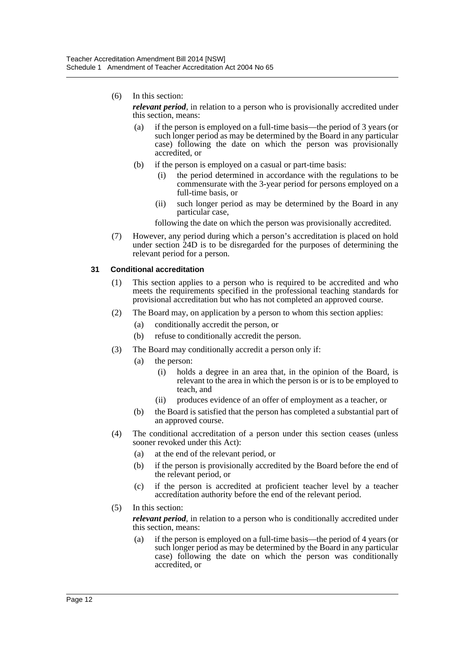(6) In this section:

*relevant period*, in relation to a person who is provisionally accredited under this section, means:

- (a) if the person is employed on a full-time basis—the period of 3 years (or such longer period as may be determined by the Board in any particular case) following the date on which the person was provisionally accredited, or
- (b) if the person is employed on a casual or part-time basis:
	- (i) the period determined in accordance with the regulations to be commensurate with the 3-year period for persons employed on a full-time basis, or
	- (ii) such longer period as may be determined by the Board in any particular case,

following the date on which the person was provisionally accredited.

(7) However, any period during which a person's accreditation is placed on hold under section 24D is to be disregarded for the purposes of determining the relevant period for a person.

### **31 Conditional accreditation**

- (1) This section applies to a person who is required to be accredited and who meets the requirements specified in the professional teaching standards for provisional accreditation but who has not completed an approved course.
- (2) The Board may, on application by a person to whom this section applies:
	- (a) conditionally accredit the person, or
	- (b) refuse to conditionally accredit the person.
- (3) The Board may conditionally accredit a person only if:
	- (a) the person:
		- (i) holds a degree in an area that, in the opinion of the Board, is relevant to the area in which the person is or is to be employed to teach, and
		- (ii) produces evidence of an offer of employment as a teacher, or
	- (b) the Board is satisfied that the person has completed a substantial part of an approved course.
- (4) The conditional accreditation of a person under this section ceases (unless sooner revoked under this Act):
	- (a) at the end of the relevant period, or
	- (b) if the person is provisionally accredited by the Board before the end of the relevant period, or
	- (c) if the person is accredited at proficient teacher level by a teacher accreditation authority before the end of the relevant period.
- (5) In this section:

*relevant period*, in relation to a person who is conditionally accredited under this section, means:

(a) if the person is employed on a full-time basis—the period of 4 years (or such longer period as may be determined by the Board in any particular case) following the date on which the person was conditionally accredited, or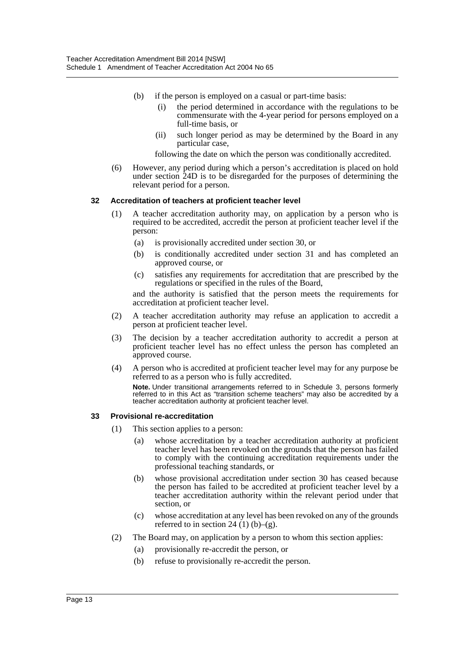- (b) if the person is employed on a casual or part-time basis:
	- (i) the period determined in accordance with the regulations to be commensurate with the 4-year period for persons employed on a full-time basis, or
	- (ii) such longer period as may be determined by the Board in any particular case,

following the date on which the person was conditionally accredited.

(6) However, any period during which a person's accreditation is placed on hold under section 24D is to be disregarded for the purposes of determining the relevant period for a person.

## **32 Accreditation of teachers at proficient teacher level**

- (1) A teacher accreditation authority may, on application by a person who is required to be accredited, accredit the person at proficient teacher level if the person:
	- (a) is provisionally accredited under section 30, or
	- (b) is conditionally accredited under section 31 and has completed an approved course, or
	- (c) satisfies any requirements for accreditation that are prescribed by the regulations or specified in the rules of the Board,

and the authority is satisfied that the person meets the requirements for accreditation at proficient teacher level.

- (2) A teacher accreditation authority may refuse an application to accredit a person at proficient teacher level.
- (3) The decision by a teacher accreditation authority to accredit a person at proficient teacher level has no effect unless the person has completed an approved course.
- (4) A person who is accredited at proficient teacher level may for any purpose be referred to as a person who is fully accredited. **Note.** Under transitional arrangements referred to in Schedule 3, persons formerly referred to in this Act as "transition scheme teachers" may also be accredited by a teacher accreditation authority at proficient teacher level.

#### **33 Provisional re-accreditation**

- (1) This section applies to a person:
	- (a) whose accreditation by a teacher accreditation authority at proficient teacher level has been revoked on the grounds that the person has failed to comply with the continuing accreditation requirements under the professional teaching standards, or
	- (b) whose provisional accreditation under section 30 has ceased because the person has failed to be accredited at proficient teacher level by a teacher accreditation authority within the relevant period under that section, or
	- (c) whose accreditation at any level has been revoked on any of the grounds referred to in section 24  $(1)$  (b)–(g).
- (2) The Board may, on application by a person to whom this section applies:
	- (a) provisionally re-accredit the person, or
	- (b) refuse to provisionally re-accredit the person.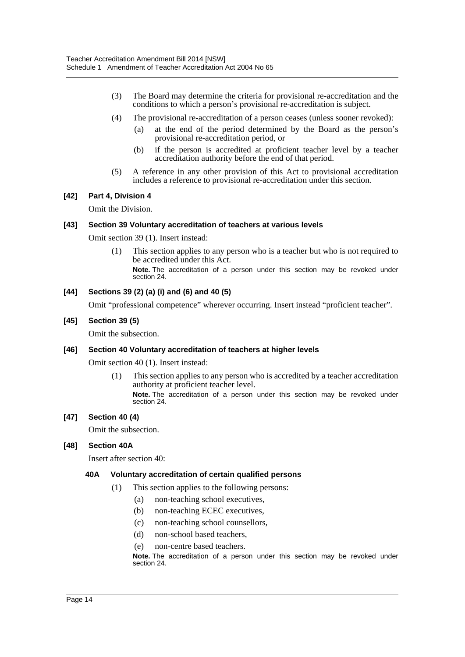- (3) The Board may determine the criteria for provisional re-accreditation and the conditions to which a person's provisional re-accreditation is subject.
- (4) The provisional re-accreditation of a person ceases (unless sooner revoked):
	- (a) at the end of the period determined by the Board as the person's provisional re-accreditation period, or
	- (b) if the person is accredited at proficient teacher level by a teacher accreditation authority before the end of that period.
- (5) A reference in any other provision of this Act to provisional accreditation includes a reference to provisional re-accreditation under this section.

### **[42] Part 4, Division 4**

Omit the Division.

### **[43] Section 39 Voluntary accreditation of teachers at various levels**

Omit section 39 (1). Insert instead:

(1) This section applies to any person who is a teacher but who is not required to be accredited under this Act.

## **[44] Sections 39 (2) (a) (i) and (6) and 40 (5)**

Omit "professional competence" wherever occurring. Insert instead "proficient teacher".

### **[45] Section 39 (5)**

Omit the subsection.

#### **[46] Section 40 Voluntary accreditation of teachers at higher levels**

Omit section 40 (1). Insert instead:

(1) This section applies to any person who is accredited by a teacher accreditation authority at proficient teacher level.

**Note.** The accreditation of a person under this section may be revoked under section 24.

### **[47] Section 40 (4)**

Omit the subsection.

#### **[48] Section 40A**

Insert after section 40:

#### **40A Voluntary accreditation of certain qualified persons**

- (1) This section applies to the following persons:
	- (a) non-teaching school executives,
	- (b) non-teaching ECEC executives,
	- (c) non-teaching school counsellors,
	- (d) non-school based teachers,
	- (e) non-centre based teachers.

**Note.** The accreditation of a person under this section may be revoked under section 24.

**Note.** The accreditation of a person under this section may be revoked under section 24.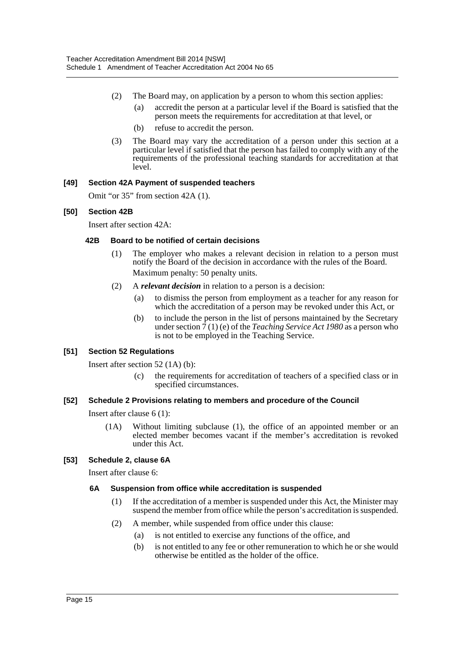- (2) The Board may, on application by a person to whom this section applies:
	- (a) accredit the person at a particular level if the Board is satisfied that the person meets the requirements for accreditation at that level, or
	- (b) refuse to accredit the person.
- (3) The Board may vary the accreditation of a person under this section at a particular level if satisfied that the person has failed to comply with any of the requirements of the professional teaching standards for accreditation at that level.

## **[49] Section 42A Payment of suspended teachers**

Omit "or 35" from section 42A (1).

## **[50] Section 42B**

Insert after section 42A:

## **42B Board to be notified of certain decisions**

- (1) The employer who makes a relevant decision in relation to a person must notify the Board of the decision in accordance with the rules of the Board. Maximum penalty: 50 penalty units.
- (2) A *relevant decision* in relation to a person is a decision:
	- (a) to dismiss the person from employment as a teacher for any reason for which the accreditation of a person may be revoked under this Act, or
	- (b) to include the person in the list of persons maintained by the Secretary under section  $\bar{7}(1)$  (e) of the *Teaching Service Act 1980* as a person who is not to be employed in the Teaching Service.

## **[51] Section 52 Regulations**

Insert after section 52 (1A) (b):

(c) the requirements for accreditation of teachers of a specified class or in specified circumstances.

## **[52] Schedule 2 Provisions relating to members and procedure of the Council**

Insert after clause 6 (1):

(1A) Without limiting subclause (1), the office of an appointed member or an elected member becomes vacant if the member's accreditation is revoked under this Act.

## **[53] Schedule 2, clause 6A**

Insert after clause 6:

## **6A Suspension from office while accreditation is suspended**

- (1) If the accreditation of a member is suspended under this Act, the Minister may suspend the member from office while the person's accreditation is suspended.
- (2) A member, while suspended from office under this clause:
	- (a) is not entitled to exercise any functions of the office, and
	- (b) is not entitled to any fee or other remuneration to which he or she would otherwise be entitled as the holder of the office.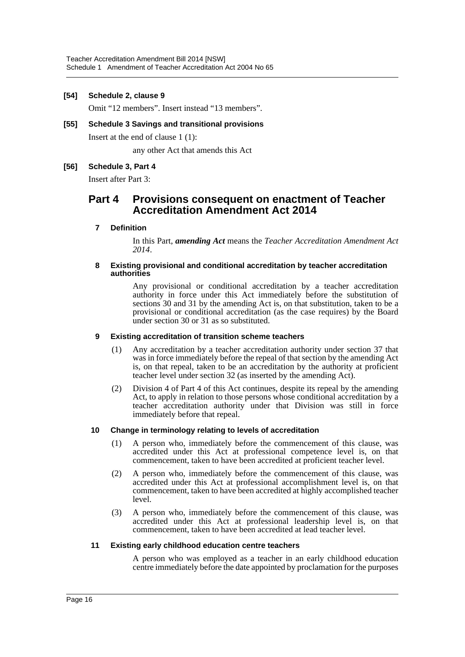#### **[54] Schedule 2, clause 9**

Omit "12 members". Insert instead "13 members".

## **[55] Schedule 3 Savings and transitional provisions**

Insert at the end of clause 1 (1):

any other Act that amends this Act

### **[56] Schedule 3, Part 4**

Insert after Part 3:

## **Part 4 Provisions consequent on enactment of Teacher Accreditation Amendment Act 2014**

#### **7 Definition**

In this Part, *amending Act* means the *Teacher Accreditation Amendment Act 2014*.

#### **8 Existing provisional and conditional accreditation by teacher accreditation authorities**

Any provisional or conditional accreditation by a teacher accreditation authority in force under this Act immediately before the substitution of sections 30 and 31 by the amending Act is, on that substitution, taken to be a provisional or conditional accreditation (as the case requires) by the Board under section 30 or 31 as so substituted.

#### **9 Existing accreditation of transition scheme teachers**

- (1) Any accreditation by a teacher accreditation authority under section 37 that was in force immediately before the repeal of that section by the amending Act is, on that repeal, taken to be an accreditation by the authority at proficient teacher level under section 32 (as inserted by the amending Act).
- (2) Division 4 of Part 4 of this Act continues, despite its repeal by the amending Act, to apply in relation to those persons whose conditional accreditation by a teacher accreditation authority under that Division was still in force immediately before that repeal.

#### **10 Change in terminology relating to levels of accreditation**

- (1) A person who, immediately before the commencement of this clause, was accredited under this Act at professional competence level is, on that commencement, taken to have been accredited at proficient teacher level.
- (2) A person who, immediately before the commencement of this clause, was accredited under this Act at professional accomplishment level is, on that commencement, taken to have been accredited at highly accomplished teacher level.
- (3) A person who, immediately before the commencement of this clause, was accredited under this Act at professional leadership level is, on that commencement, taken to have been accredited at lead teacher level.

#### **11 Existing early childhood education centre teachers**

A person who was employed as a teacher in an early childhood education centre immediately before the date appointed by proclamation for the purposes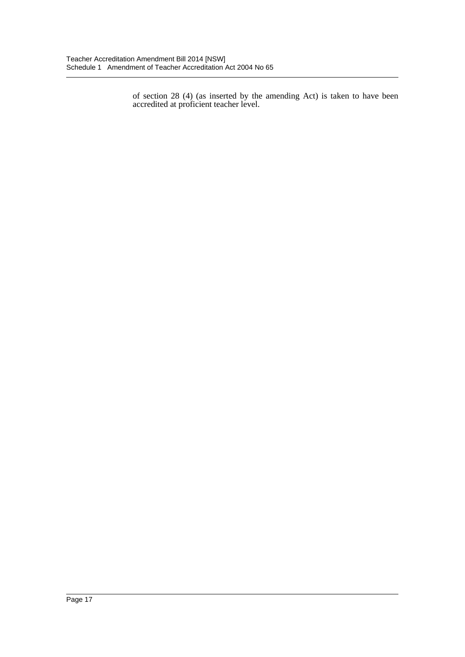of section 28 (4) (as inserted by the amending Act) is taken to have been accredited at proficient teacher level.